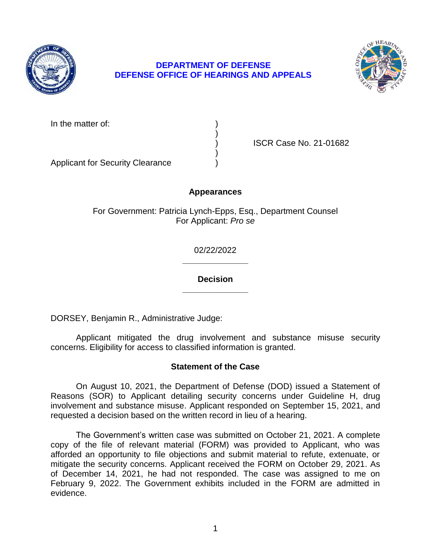

## **DEPARTMENT OF DEFENSE DEFENSE OFFICE OF HEARINGS AND APPEALS**



In the matter of:

) ISCR Case No. 21-01682

Applicant for Security Clearance )

## **Appearances**

)

)

For Government: Patricia Lynch-Epps, Esq., Department Counsel For Applicant: *Pro se* 

> **\_\_\_\_\_\_\_\_\_\_\_\_\_\_**  02/22/2022

> **\_\_\_\_\_\_\_\_\_\_\_\_\_\_ Decision**

DORSEY, Benjamin R., Administrative Judge:

 Applicant mitigated the drug involvement and substance misuse security concerns. Eligibility for access to classified information is granted.

## **Statement of the Case**

 Reasons (SOR) to Applicant detailing security concerns under Guideline H, drug involvement and substance misuse. Applicant responded on September 15, 2021, and On August 10, 2021, the Department of Defense (DOD) issued a Statement of requested a decision based on the written record in lieu of a hearing.

 The Government's written case was submitted on October 21, 2021. A complete copy of the file of relevant material (FORM) was provided to Applicant, who was afforded an opportunity to file objections and submit material to refute, extenuate, or mitigate the security concerns. Applicant received the FORM on October 29, 2021. As of December 14, 2021, he had not responded. The case was assigned to me on February 9, 2022. The Government exhibits included in the FORM are admitted in evidence.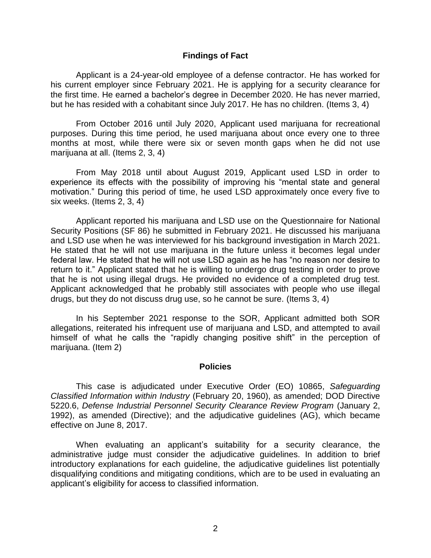#### **Findings of Fact**

 Applicant is a 24-year-old employee of a defense contractor. He has worked for his current employer since February 2021. He is applying for a security clearance for the first time. He earned a bachelor's degree in December 2020. He has never married, but he has resided with a cohabitant since July 2017. He has no children. (Items 3, 4)

 purposes. During this time period, he used marijuana about once every one to three months at most, while there were six or seven month gaps when he did not use From October 2016 until July 2020, Applicant used marijuana for recreational marijuana at all. (Items 2, 3, 4)

 From May 2018 until about August 2019, Applicant used LSD in order to experience its effects with the possibility of improving his "mental state and general motivation." During this period of time, he used LSD approximately once every five to six weeks. (Items 2, 3, 4)

 Applicant reported his marijuana and LSD use on the Questionnaire for National Security Positions (SF 86) he submitted in February 2021. He discussed his marijuana and LSD use when he was interviewed for his background investigation in March 2021. He stated that he will not use marijuana in the future unless it becomes legal under federal law. He stated that he will not use LSD again as he has "no reason nor desire to return to it." Applicant stated that he is willing to undergo drug testing in order to prove that he is not using illegal drugs. He provided no evidence of a completed drug test. Applicant acknowledged that he probably still associates with people who use illegal drugs, but they do not discuss drug use, so he cannot be sure. (Items 3, 4)

 In his September 2021 response to the SOR, Applicant admitted both SOR allegations, reiterated his infrequent use of marijuana and LSD, and attempted to avail himself of what he calls the "rapidly changing positive shift" in the perception of marijuana. (Item 2)

#### **Policies**

 *Classified Information within Industry* (February 20, 1960), as amended; DOD Directive 5220.6, *Defense Industrial Personnel Security Clearance Review Program* (January 2, 1992), as amended (Directive); and the adjudicative guidelines (AG), which became This case is adjudicated under Executive Order (EO) 10865, *Safeguarding*  effective on June 8, 2017.

 When evaluating an applicant's suitability for a security clearance, the administrative judge must consider the adjudicative guidelines. In addition to brief introductory explanations for each guideline, the adjudicative guidelines list potentially disqualifying conditions and mitigating conditions, which are to be used in evaluating an applicant's eligibility for access to classified information.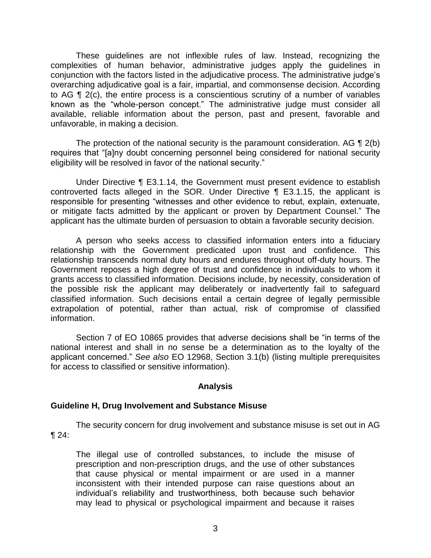These guidelines are not inflexible rules of law. Instead, recognizing the complexities of human behavior, administrative judges apply the guidelines in conjunction with the factors listed in the adjudicative process. The administrative judge's overarching adjudicative goal is a fair, impartial, and commonsense decision. According to AG ¶ 2(c), the entire process is a conscientious scrutiny of a number of variables known as the "whole-person concept." The administrative judge must consider all available, reliable information about the person, past and present, favorable and unfavorable, in making a decision.

The protection of the national security is the paramount consideration. AG  $\P$  2(b) eligibility will be resolved in favor of the national security." requires that "[a]ny doubt concerning personnel being considered for national security

 Under Directive ¶ E3.1.14, the Government must present evidence to establish controverted facts alleged in the SOR. Under Directive ¶ E3.1.15, the applicant is responsible for presenting "witnesses and other evidence to rebut, explain, extenuate, or mitigate facts admitted by the applicant or proven by Department Counsel." The applicant has the ultimate burden of persuasion to obtain a favorable security decision.

 A person who seeks access to classified information enters into a fiduciary relationship with the Government predicated upon trust and confidence. This relationship transcends normal duty hours and endures throughout off-duty hours. The Government reposes a high degree of trust and confidence in individuals to whom it grants access to classified information. Decisions include, by necessity, consideration of the possible risk the applicant may deliberately or inadvertently fail to safeguard classified information. Such decisions entail a certain degree of legally permissible extrapolation of potential, rather than actual, risk of compromise of classified information.

 Section 7 of EO 10865 provides that adverse decisions shall be "in terms of the national interest and shall in no sense be a determination as to the loyalty of the applicant concerned." *See also* EO 12968, Section 3.1(b) (listing multiple prerequisites for access to classified or sensitive information).

#### **Analysis**

#### **Guideline H, Drug Involvement and Substance Misuse**

 The security concern for drug involvement and substance misuse is set out in AG  $\P$  24:

The illegal use of controlled substances, to include the misuse of prescription and non-prescription drugs, and the use of other substances that cause physical or mental impairment or are used in a manner inconsistent with their intended purpose can raise questions about an individual's reliability and trustworthiness, both because such behavior may lead to physical or psychological impairment and because it raises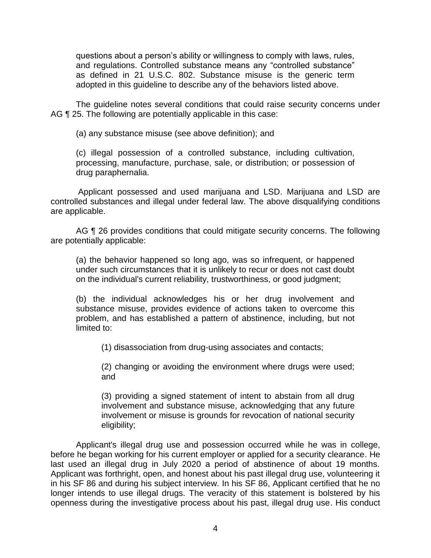questions about a person's ability or willingness to comply with laws, rules, and regulations. Controlled substance means any "controlled substance" as defined in 21 U.S.C. 802. Substance misuse is the generic term adopted in this guideline to describe any of the behaviors listed above.

 The guideline notes several conditions that could raise security concerns under AG ¶ 25. The following are potentially applicable in this case:

(a) any substance misuse (see above definition); and

(c) illegal possession of a controlled substance, including cultivation, processing, manufacture, purchase, sale, or distribution; or possession of drug paraphernalia.

 Applicant possessed and used marijuana and LSD. Marijuana and LSD are controlled substances and illegal under federal law. The above disqualifying conditions are applicable.

AG ¶ 26 provides conditions that could mitigate security concerns. The following are potentially applicable:

(a) the behavior happened so long ago, was so infrequent, or happened under such circumstances that it is unlikely to recur or does not cast doubt on the individual's current reliability, trustworthiness, or good judgment;

(b) the individual acknowledges his or her drug involvement and substance misuse, provides evidence of actions taken to overcome this problem, and has established a pattern of abstinence, including, but not limited to:

(1) disassociation from drug-using associates and contacts;

(2) changing or avoiding the environment where drugs were used; and

(3) providing a signed statement of intent to abstain from all drug involvement and substance misuse, acknowledging that any future involvement or misuse is grounds for revocation of national security eligibility;

 Applicant's illegal drug use and possession occurred while he was in college, before he began working for his current employer or applied for a security clearance. He last used an illegal drug in July 2020 a period of abstinence of about 19 months. in his SF 86 and during his subject interview. In his SF 86, Applicant certified that he no longer intends to use illegal drugs. The veracity of this statement is bolstered by his openness during the investigative process about his past, illegal drug use. His conduct Applicant was forthright, open, and honest about his past illegal drug use, volunteering it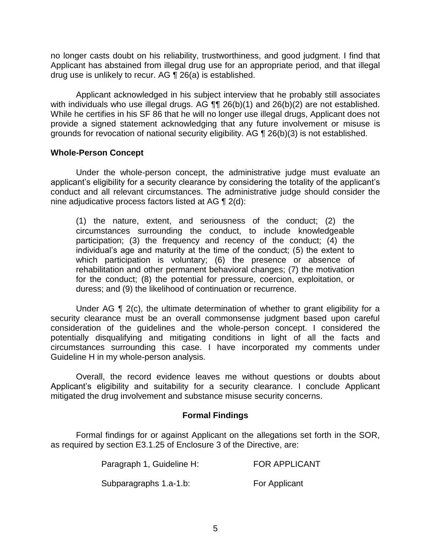no longer casts doubt on his reliability, trustworthiness, and good judgment. I find that Applicant has abstained from illegal drug use for an appropriate period, and that illegal drug use is unlikely to recur. AG ¶ 26(a) is established.

 Applicant acknowledged in his subject interview that he probably still associates with individuals who use illegal drugs. AG  $\P\P$  26(b)(1) and 26(b)(2) are not established. While he certifies in his SF 86 that he will no longer use illegal drugs, Applicant does not provide a signed statement acknowledging that any future involvement or misuse is grounds for revocation of national security eligibility. AG ¶ 26(b)(3) is not established.

### **Whole-Person Concept**

Under the whole-person concept, the administrative judge must evaluate an applicant's eligibility for a security clearance by considering the totality of the applicant's conduct and all relevant circumstances. The administrative judge should consider the nine adjudicative process factors listed at AG ¶ 2(d):

(1) the nature, extent, and seriousness of the conduct; (2) the circumstances surrounding the conduct, to include knowledgeable participation; (3) the frequency and recency of the conduct; (4) the individual's age and maturity at the time of the conduct; (5) the extent to which participation is voluntary; (6) the presence or absence of rehabilitation and other permanent behavioral changes; (7) the motivation for the conduct; (8) the potential for pressure, coercion, exploitation, or duress; and (9) the likelihood of continuation or recurrence.

Under AG  $\P$  2(c), the ultimate determination of whether to grant eligibility for a security clearance must be an overall commonsense judgment based upon careful consideration of the guidelines and the whole-person concept. I considered the potentially disqualifying and mitigating conditions in light of all the facts and circumstances surrounding this case. I have incorporated my comments under Guideline H in my whole-person analysis.

 Applicant's eligibility and suitability for a security clearance. I conclude Applicant Overall, the record evidence leaves me without questions or doubts about mitigated the drug involvement and substance misuse security concerns.

## **Formal Findings**

 Formal findings for or against Applicant on the allegations set forth in the SOR, as required by section E3.1.25 of Enclosure 3 of the Directive, are:

| Paragraph 1, Guideline H: | <b>FOR APPLICANT</b> |
|---------------------------|----------------------|
| Subparagraphs 1.a-1.b:    | For Applicant        |